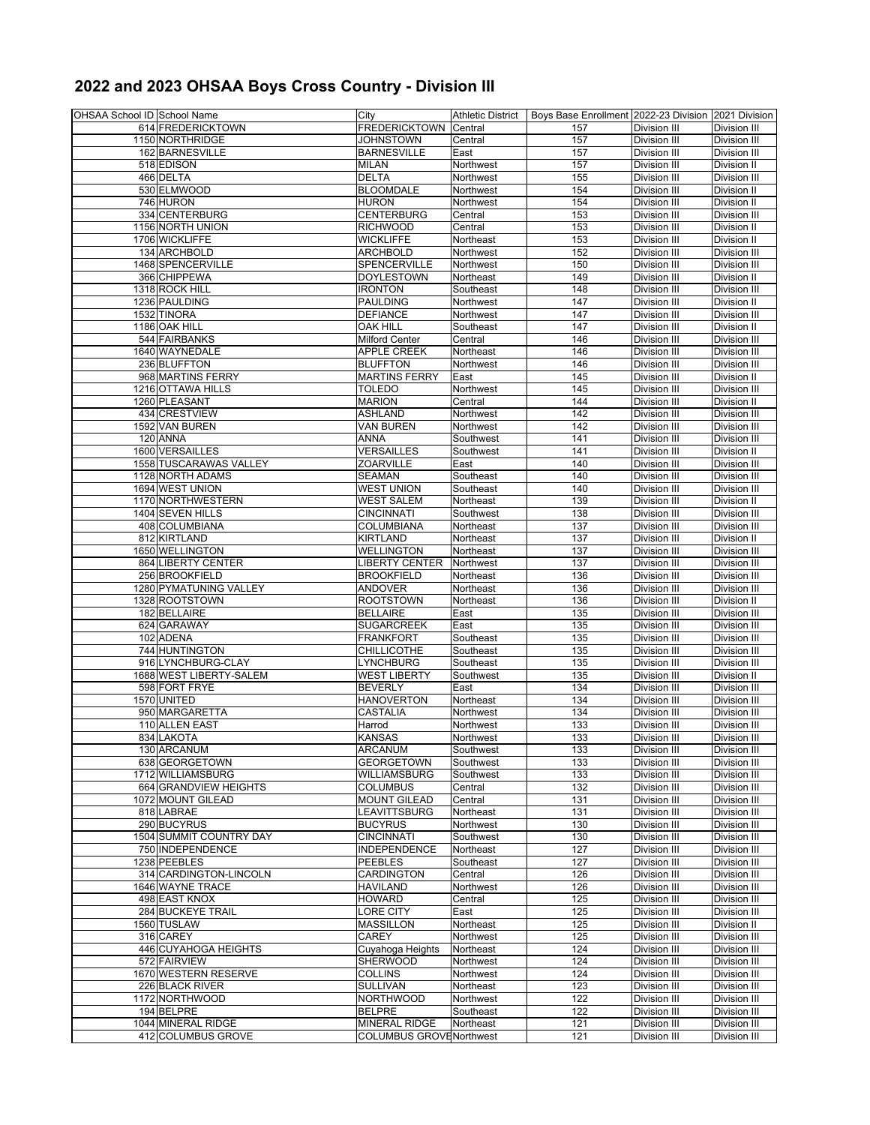## **2022 and 2023 OHSAA Boys Cross Country - Division III**

| OHSAA School ID School Name |                         | City                           |           | Athletic District   Boys Base Enrollment 2022-23 Division 2021 Division |                     |                     |
|-----------------------------|-------------------------|--------------------------------|-----------|-------------------------------------------------------------------------|---------------------|---------------------|
|                             | 614 FREDERICKTOWN       | <b>FREDERICKTOWN</b>           | Central   | 157                                                                     | Division III        | Division III        |
|                             | 1150 NORTHRIDGE         | <b>JOHNSTOWN</b>               | Central   | 157                                                                     | Division III        | Division III        |
|                             | 162 BARNESVILLE         | <b>BARNESVILLE</b>             | East      | 157                                                                     | Division III        | Division III        |
|                             | 518 EDISON              | <b>MILAN</b>                   | Northwest | 157                                                                     | Division III        | <b>Division II</b>  |
|                             | 466 DELTA               | <b>DELTA</b>                   | Northwest | 155                                                                     | Division III        | Division III        |
|                             |                         |                                |           |                                                                         |                     |                     |
|                             | 530 ELMWOOD             | <b>BLOOMDALE</b>               | Northwest | 154                                                                     | Division III        | Division II         |
|                             | 746 HURON               | <b>HURON</b>                   | Northwest | 154                                                                     | Division III        | Division II         |
|                             | 334 CENTERBURG          | <b>CENTERBURG</b>              | Central   | 153                                                                     | Division III        | Division III        |
|                             | 1156 NORTH UNION        | <b>RICHWOOD</b>                | Central   | 153                                                                     | Division III        | Division II         |
|                             | 1706 WICKLIFFE          | <b>WICKLIFFE</b>               | Northeast | 153                                                                     | Division III        | Division II         |
|                             | 134 ARCHBOLD            | ARCHBOLD                       | Northwest | 152                                                                     | Division III        | <b>Division III</b> |
|                             | 1468 SPENCERVILLE       | SPENCERVILLE                   | Northwest | 150                                                                     | Division III        | Division III        |
|                             | 366 CHIPPEWA            | <b>DOYLESTOWN</b>              | Northeast | 149                                                                     | Division III        | Division II         |
|                             | 1318 ROCK HILL          | <b>IRONTON</b>                 | Southeast | 148                                                                     | Division III        | <b>Division III</b> |
|                             | 1236 PAULDING           | <b>PAULDING</b>                | Northwest | 147                                                                     | Division III        | Division II         |
|                             |                         |                                |           |                                                                         |                     |                     |
|                             | 1532 TINORA             | <b>DEFIANCE</b>                | Northwest | 147                                                                     | Division III        | Division III        |
|                             | 1186 OAK HILL           | <b>OAK HILL</b>                | Southeast | 147                                                                     | Division III        | Division II         |
|                             | 544 FAIRBANKS           | <b>Milford Center</b>          | Central   | 146                                                                     | Division III        | Division III        |
|                             | 1640 WAYNEDALE          | <b>APPLE CREEK</b>             | Northeast | 146                                                                     | Division III        | Division III        |
|                             | 236 BLUFFTON            | <b>BLUFFTON</b>                | Northwest | 146                                                                     | Division III        | Division III        |
|                             | 968 MARTINS FERRY       | <b>MARTINS FERRY</b>           | East      | 145                                                                     | Division III        | Division II         |
|                             | 1216 OTTAWA HILLS       | TOLEDO                         | Northwest | 145                                                                     | Division III        | Division III        |
|                             | 1260 PLEASANT           | <b>MARION</b>                  | Central   | 144                                                                     | Division III        | Division II         |
|                             | 434 CRESTVIEW           | ASHLAND                        | Northwest | 142                                                                     | Division III        | Division III        |
|                             | 1592 VAN BUREN          | <b>VAN BUREN</b>               | Northwest | 142                                                                     | Division III        | Division III        |
|                             |                         |                                |           |                                                                         |                     |                     |
|                             | 120 ANNA                | <b>ANNA</b>                    | Southwest | 141                                                                     | Division III        | <b>Division III</b> |
|                             | 1600 VERSAILLES         | VERSAILLES                     | Southwest | 141                                                                     | Division III        | Division II         |
|                             | 1558 TUSCARAWAS VALLEY  | <b>ZOARVILLE</b>               | East      | 140                                                                     | Division III        | Division III        |
|                             | 1128 NORTH ADAMS        | <b>SEAMAN</b>                  | Southeast | 140                                                                     | Division III        | Division III        |
|                             | 1694 WEST UNION         | <b>WEST UNION</b>              | Southeast | 140                                                                     | Division III        | Division III        |
|                             | 1170 NORTHWESTERN       | <b>WEST SALEM</b>              | Northeast | 139                                                                     | Division III        | Division II         |
|                             | 1404 SEVEN HILLS        | <b>CINCINNATI</b>              | Southwest | 138                                                                     | Division III        | <b>Division III</b> |
|                             | 408 COLUMBIANA          | COLUMBIANA                     | Northeast | 137                                                                     | Division III        | Division III        |
|                             | 812 KIRTLAND            | <b>KIRTLAND</b>                | Northeast | 137                                                                     | <b>Division III</b> | Division II         |
|                             | 1650 WELLINGTON         | WELLINGTON                     | Northeast | 137                                                                     | Division III        | Division III        |
|                             |                         |                                |           | 137                                                                     |                     |                     |
|                             | 864 LIBERTY CENTER      | LIBERTY CENTER                 | Northwest |                                                                         | Division III        | Division III        |
|                             | 256 BROOKFIELD          | <b>BROOKFIELD</b>              | Northeast | 136                                                                     | Division III        | Division III        |
|                             | 1280 PYMATUNING VALLEY  | <b>ANDOVER</b>                 | Northeast | 136                                                                     | Division III        | Division III        |
|                             | 1328 ROOTSTOWN          | <b>ROOTSTOWN</b>               | Northeast | 136                                                                     | Division III        | Division II         |
|                             | 182 BELLAIRE            | <b>BELLAIRE</b>                | East      | 135                                                                     | Division III        | <b>Division III</b> |
|                             | 624 GARAWAY             | <b>SUGARCREEK</b>              | East      | 135                                                                     | Division III        | Division III        |
|                             | 102 ADENA               | <b>FRANKFORT</b>               | Southeast | 135                                                                     | Division III        | Division III        |
|                             | 744 HUNTINGTON          | <b>CHILLICOTHE</b>             | Southeast | 135                                                                     | Division III        | <b>Division III</b> |
|                             | 916 LYNCHBURG-CLAY      | <b>LYNCHBURG</b>               | Southeast | 135                                                                     | Division III        | Division III        |
|                             | 1688 WEST LIBERTY-SALEM | <b>WEST LIBERTY</b>            | Southwest | 135                                                                     | Division III        | Division II         |
|                             |                         |                                |           |                                                                         |                     |                     |
|                             | 598 FORT FRYE           | <b>BEVERLY</b>                 | East      | 134                                                                     | Division III        | Division III        |
|                             | 1570 UNITED             | <b>HANOVERTON</b>              | Northeast | 134                                                                     | Division III        | <b>Division III</b> |
|                             | 950 MARGARETTA          | CASTALIA                       | Northwest | 134                                                                     | Division III        | Division III        |
|                             | 110 ALLEN EAST          | Harrod                         | Northwest | 133                                                                     | Division III        | Division III        |
|                             | 834 LAKOTA              | <b>KANSAS</b>                  | Northwest | 133                                                                     | <b>Division III</b> | <b>Division III</b> |
|                             | 130 ARCANUM             | ARCANUM                        | Southwest | 133                                                                     | <b>Division III</b> | Division III        |
|                             | 638 GEORGETOWN          | <b>GEORGETOWN</b>              | Southwest | 133                                                                     | Division III        | Division III        |
|                             | 1712 WILLIAMSBURG       | <b>WILLIAMSBURG</b>            | Southwest | 133                                                                     | Division III        | Division III        |
|                             | 664 GRANDVIEW HEIGHTS   | <b>COLUMBUS</b>                | Central   | 132                                                                     | Division III        | Division III        |
|                             | 1072 MOUNT GILEAD       | <b>MOUNT GILEAD</b>            | Central   | 131                                                                     | Division III        | <b>Division III</b> |
|                             | 818 LABRAE              | LEAVITTSBURG                   | Northeast | 131                                                                     | Division III        | Division III        |
|                             | 290 BUCYRUS             | <b>BUCYRUS</b>                 | Northwest | 130                                                                     | Division III        | Division III        |
|                             |                         |                                |           |                                                                         |                     |                     |
|                             | 1504 SUMMIT COUNTRY DAY | <b>CINCINNATI</b>              | Southwest | 130                                                                     | Division III        | Division III        |
|                             | 750 INDEPENDENCE        | INDEPENDENCE                   | Northeast | 127                                                                     | Division III        | Division III        |
|                             | 1238 PEEBLES            | <b>PEEBLES</b>                 | Southeast | 127                                                                     | Division III        | Division III        |
|                             | 314 CARDINGTON-LINCOLN  | CARDINGTON                     | Central   | 126                                                                     | Division III        | Division III        |
|                             | 1646 WAYNE TRACE        | <b>HAVILAND</b>                | Northwest | 126                                                                     | Division III        | Division III        |
|                             | 498 EAST KNOX           | <b>HOWARD</b>                  | Central   | 125                                                                     | Division III        | Division III        |
|                             | 284 BUCKEYE TRAIL       | <b>LORE CITY</b>               | East      | 125                                                                     | Division III        | Division III        |
|                             | 1560 TUSLAW             | <b>MASSILLON</b>               | Northeast | 125                                                                     | Division III        | Division II         |
|                             | 316 CAREY               | CAREY                          | Northwest | 125                                                                     | Division III        | Division III        |
|                             | 446 CUYAHOGA HEIGHTS    | Cuyahoga Heights               | Northeast | 124                                                                     | Division III        | Division III        |
|                             | 572 FAIRVIEW            | <b>SHERWOOD</b>                | Northwest | 124                                                                     | Division III        | Division III        |
|                             |                         |                                |           |                                                                         |                     |                     |
|                             | 1670 WESTERN RESERVE    | <b>COLLINS</b>                 | Northwest | 124                                                                     | Division III        | Division III        |
|                             | 226 BLACK RIVER         | <b>SULLIVAN</b>                | Northeast | 123                                                                     | Division III        | Division III        |
|                             | 1172 NORTHWOOD          | <b>NORTHWOOD</b>               | Northwest | 122                                                                     | Division III        | Division III        |
|                             | 194 BELPRE              | <b>BELPRE</b>                  | Southeast | 122                                                                     | Division III        | Division III        |
|                             | 1044 MINERAL RIDGE      | <b>MINERAL RIDGE</b>           | Northeast | 121                                                                     | Division III        | Division III        |
|                             | 412 COLUMBUS GROVE      | <b>COLUMBUS GROVENorthwest</b> |           | 121                                                                     | Division III        | Division III        |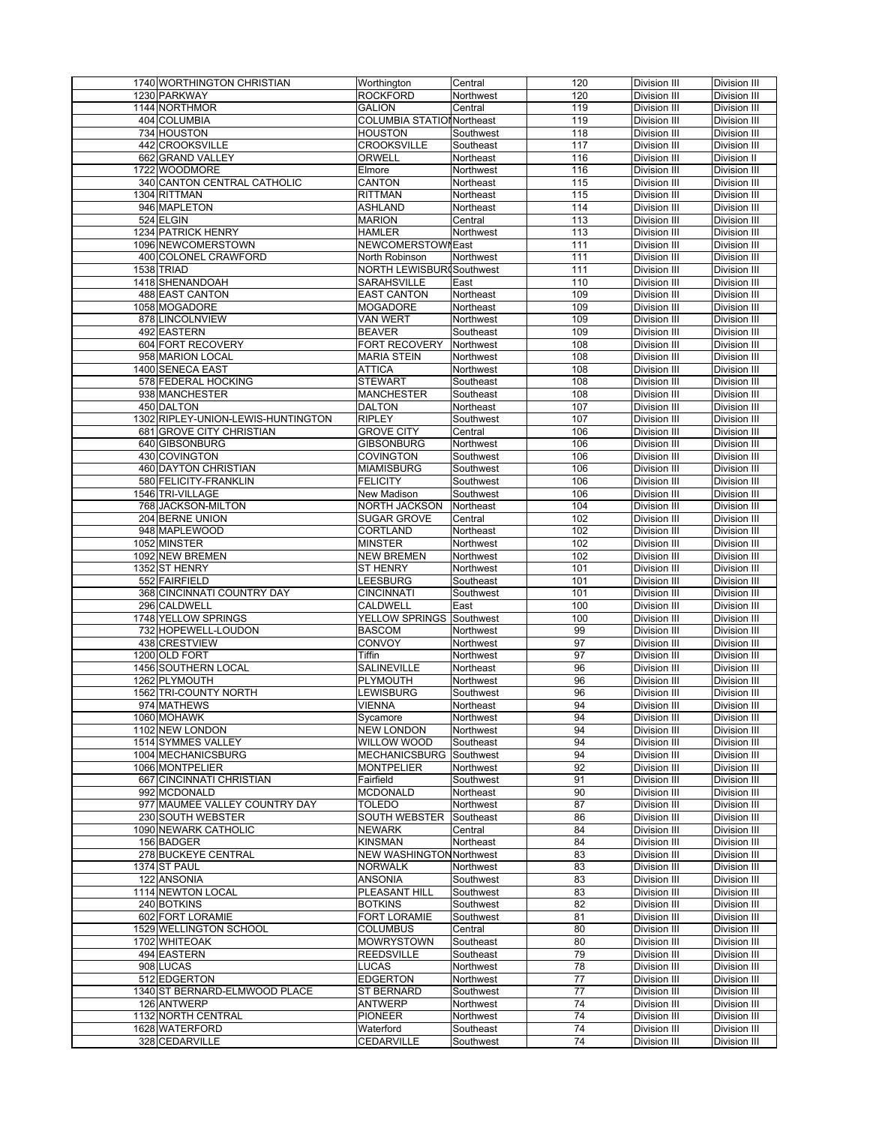| 1740 WORTHINGTON CHRISTIAN         | Worthington                      | Central   | 120              | <b>Division III</b> | <b>Division III</b> |
|------------------------------------|----------------------------------|-----------|------------------|---------------------|---------------------|
| 1230 PARKWAY                       | <b>ROCKFORD</b>                  | Northwest | 120              | Division III        | Division III        |
|                                    |                                  |           |                  |                     |                     |
| 1144 NORTHMOR                      | <b>GALION</b>                    | Central   | 119              | Division III        | Division III        |
| 404 COLUMBIA                       | <b>COLUMBIA STATIONNortheast</b> |           | 119              | <b>Division III</b> | Division III        |
| 734 HOUSTON                        | <b>HOUSTON</b>                   | Southwest | 118              | Division III        | Division III        |
| 442 CROOKSVILLE                    | <b>CROOKSVILLE</b>               | Southeast | 117              | Division III        | Division III        |
|                                    |                                  |           |                  |                     |                     |
| 662 GRAND VALLEY                   | ORWELL                           | Northeast | $\frac{116}{2}$  | Division III        | Division II         |
| 1722 WOODMORE                      | Elmore                           | Northwest | 116              | Division III        | Division III        |
| 340 CANTON CENTRAL CATHOLIC        | <b>CANTON</b>                    | Northeast | 115              | Division III        | Division III        |
| 1304 RITTMAN                       | <b>RITTMAN</b>                   | Northeast | $\overline{115}$ | Division III        | Division III        |
|                                    |                                  |           |                  |                     |                     |
| 946 MAPLETON                       | <b>ASHLAND</b>                   | Northeast | $\frac{114}{2}$  | Division III        | Division III        |
| 524 ELGIN                          | <b>MARION</b>                    | Central   | 113              | Division III        | Division III        |
| 1234 PATRICK HENRY                 | <b>HAMLER</b>                    | Northwest | 113              | Division III        | Division III        |
| 1096 NEWCOMERSTOWN                 | NEWCOMERSTOWNEast                |           | 111              | Division III        | Division III        |
| 400 COLONEL CRAWFORD               | North Robinson                   | Northwest | 111              | Division III        | Division III        |
|                                    |                                  |           |                  |                     |                     |
| 1538 TRIAD                         | NORTH LEWISBUR(Southwest         |           | 111              | <b>Division III</b> | <b>Division III</b> |
| 1418 SHENANDOAH                    | SARAHSVILLE                      | East      | 110              | Division III        | Division III        |
| <b>488 EAST CANTON</b>             | <b>EAST CANTON</b>               | Northeast | 109              | Division III        | Division III        |
| 1058 MOGADORE                      | <b>MOGADORE</b>                  | Northeast | 109              | Division III        | Division III        |
|                                    |                                  |           |                  |                     |                     |
| 878 LINCOLNVIEW                    | <b>VAN WERT</b>                  | Northwest | 109              | Division III        | Division III        |
| 492 EASTERN                        | <b>BEAVER</b>                    | Southeast | 109              | Division III        | Division III        |
| 604 FORT RECOVERY                  | <b>FORT RECOVERY</b>             | Northwest | 108              | Division III        | Division III        |
| 958 MARION LOCAL                   | <b>MARIA STEIN</b>               | Northwest | 108              | Division III        | Division III        |
| 1400 SENECA EAST                   | <b>ATTICA</b>                    | Northwest | 108              | Division III        | Division III        |
|                                    |                                  |           |                  |                     |                     |
| 578 FEDERAL HOCKING                | <b>STEWART</b>                   | Southeast | 108              | Division III        | Division III        |
| 938 MANCHESTER                     | <b>MANCHESTER</b>                | Southeast | 108              | Division III        | Division III        |
| 450 DALTON                         | <b>DALTON</b>                    | Northeast | 107              | Division III        | Division III        |
| 1302 RIPLEY-UNION-LEWIS-HUNTINGTON | <b>RIPLEY</b>                    | Southwest | 107              | Division III        | Division III        |
|                                    |                                  |           |                  |                     |                     |
| 681 GROVE CITY CHRISTIAN           | <b>GROVE CITY</b>                | Central   | 106              | Division III        | Division III        |
| 640 GIBSONBURG                     | <b>GIBSONBURG</b>                | Northwest | 106              | Division III        | <b>Division III</b> |
| 430 COVINGTON                      | <b>COVINGTON</b>                 | Southwest | 106              | Division III        | Division III        |
| 460 DAYTON CHRISTIAN               | <b>MIAMISBURG</b>                | Southwest | 106              | Division III        | Division III        |
|                                    |                                  |           |                  | Division III        | <b>Division III</b> |
| 580 FELICITY-FRANKLIN              | <b>FELICITY</b>                  | Southwest | 106              |                     |                     |
| 1546 TRI-VILLAGE                   | New Madison                      | Southwest | 106              | Division III        | Division III        |
| 768 JACKSON-MILTON                 | <b>NORTH JACKSON</b>             | Northeast | 104              | Division III        | Division III        |
| 204 BERNE UNION                    | <b>SUGAR GROVE</b>               | Central   | 102              | Division III        | Division III        |
|                                    |                                  |           | 102              |                     |                     |
| 948 MAPLEWOOD                      | CORTLAND                         | Northeast |                  | Division III        | Division III        |
| 1052 MINSTER                       | <b>MINSTER</b>                   | Northwest | 102              | Division III        | Division III        |
| 1092 NEW BREMEN                    | <b>NEW BREMEN</b>                | Northwest | 102              | Division III        | Division III        |
| 1352 ST HENRY                      | <b>ST HENRY</b>                  | Northwest | 101              | Division III        | Division III        |
|                                    |                                  |           |                  |                     |                     |
|                                    |                                  |           |                  |                     |                     |
| 552 FAIRFIELD                      | LEESBURG                         | Southeast | 101              | Division III        | Division III        |
| 368 CINCINNATI COUNTRY DAY         | <b>CINCINNATI</b>                | Southwest | 101              | Division III        | Division III        |
| 296 CALDWELL                       | CALDWELL                         | East      | 100              | Division III        | Division III        |
| 1748 YELLOW SPRINGS                | YELLOW SPRINGS                   | Southwest | 100              | Division III        | Division III        |
|                                    |                                  |           |                  |                     |                     |
| 732 HOPEWELL-LOUDON                | <b>BASCOM</b>                    | Northwest | 99               | Division III        | Division III        |
| 438 CRESTVIEW                      | CONVOY                           | Northwest | 97               | Division III        | Division III        |
| 1200 OLD FORT                      | Tiffin                           | Northwest | 97               | Division III        | Division III        |
| 1456 SOUTHERN LOCAL                | SALINEVILLE                      | Northeast | 96               | Division III        | <b>Division III</b> |
|                                    |                                  |           |                  |                     |                     |
| 1262 PLYMOUTH                      | PLYMOUTH                         | Northwest | 96               | Division III        | Division III        |
| 1562 TRI-COUNTY NORTH              | LEWISBURG                        | Southwest | 96               | Division III        | Division III        |
| 974 MATHEWS                        | <b>VIENNA</b>                    | Northeast | 94               | Division III        | Division III        |
| 1060 MOHAWK                        | Sycamore                         | Northwest | 94               | Division III        | Division III        |
| 1102 NEW LONDON                    | <b>NEW LONDON</b>                | Northwest | 94               | Division III        | Division III        |
| 1514 SYMMES VALLEY                 | <b>WILLOW WOOD</b>               | Southeast | 94               | Division III        | Division III        |
|                                    |                                  |           |                  |                     |                     |
| 1004 MECHANICSBURG                 | <b>MECHANICSBURG</b>             | Southwest | 94               | Division III        | Division III        |
| 1066 MONTPELIER                    | <b>MONTPELIER</b>                | Northwest | 92               | Division III        | Division III        |
| 667 CINCINNATI CHRISTIAN           | Fairfield                        | Southwest | 91               | Division III        | Division III        |
| 992 MCDONALD                       | <b>MCDONALD</b>                  | Northeast | 90               | Division III        | Division III        |
| 977 MAUMEE VALLEY COUNTRY DAY      | <b>TOLEDO</b>                    | Northwest | 87               | Division III        | Division III        |
|                                    |                                  |           |                  |                     |                     |
| 230 SOUTH WEBSTER                  | SOUTH WEBSTER                    | Southeast | 86               | Division III        | Division III        |
| 1090 NEWARK CATHOLIC               | <b>NEWARK</b>                    | Central   | 84               | Division III        | Division III        |
| 156 BADGER                         | <b>KINSMAN</b>                   | Northeast | 84               | Division III        | Division III        |
| 278 BUCKEYE CENTRAL                | NEW WASHINGTONNorthwest          |           | 83               | Division III        | Division III        |
|                                    | <b>NORWALK</b>                   |           |                  |                     | Division III        |
| 1374 ST PAUL                       |                                  | Northwest | 83               | Division III        |                     |
| 122 ANSONIA                        | <b>ANSONIA</b>                   | Southwest | 83               | Division III        | Division III        |
| 1114 NEWTON LOCAL                  | PLEASANT HILL                    | Southwest | 83               | Division III        | Division III        |
| 240 BOTKINS                        | <b>BOTKINS</b>                   | Southwest | 82               | Division III        | Division III        |
| 602 FORT LORAMIE                   | <b>FORT LORAMIE</b>              | Southwest | 81               | Division III        | Division III        |
|                                    |                                  |           |                  |                     |                     |
| 1529 WELLINGTON SCHOOL             | <b>COLUMBUS</b>                  | Central   | 80               | Division III        | Division III        |
| 1702 WHITEOAK                      | <b>MOWRYSTOWN</b>                | Southeast | 80               | Division III        | Division III        |
| 494 EASTERN                        | <b>REEDSVILLE</b>                | Southeast | 79               | Division III        | Division III        |
| 908 LUCAS                          | LUCAS                            | Northwest | 78               | Division III        | Division III        |
| 512 EDGERTON                       |                                  |           |                  |                     | Division III        |
|                                    | <b>EDGERTON</b>                  | Northwest | 77               | Division III        |                     |
| 1340 ST BERNARD-ELMWOOD PLACE      | <b>ST BERNARD</b>                | Southwest | 77               | Division III        | Division III        |
| 126 ANTWERP                        | <b>ANTWERP</b>                   | Northwest | 74               | Division III        | Division III        |
| 1132 NORTH CENTRAL                 | <b>PIONEER</b>                   | Northwest | $\overline{74}$  | Division III        | Division III        |
| 1628 WATERFORD                     | Waterford                        | Southeast | 74               | Division III        | Division III        |